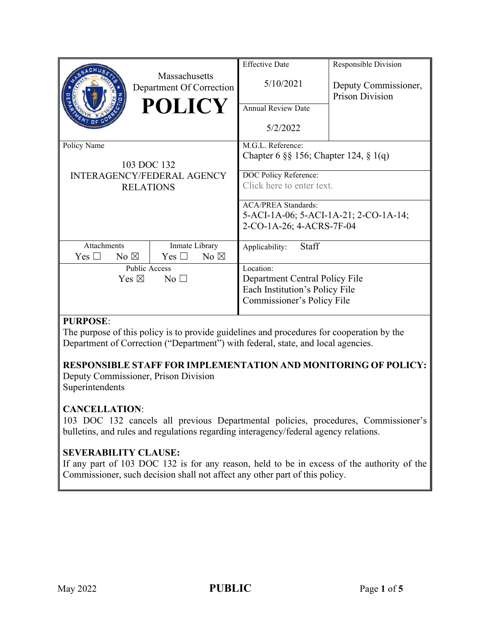|                                                                                     | Massachusetts<br>Department Of Correction<br><b>POLICY</b> | <b>Effective Date</b><br>5/10/2021<br><b>Annual Review Date</b><br>5/2/2022                                          | Responsible Division<br>Deputy Commissioner,<br><b>Prison Division</b> |
|-------------------------------------------------------------------------------------|------------------------------------------------------------|----------------------------------------------------------------------------------------------------------------------|------------------------------------------------------------------------|
| Policy Name<br>103 DOC 132<br><b>INTERAGENCY/FEDERAL AGENCY</b><br><b>RELATIONS</b> |                                                            | M.G.L. Reference:<br>Chapter 6 $\S$ § 156; Chapter 124, § 1(q)<br>DOC Policy Reference:<br>Click here to enter text. |                                                                        |
|                                                                                     |                                                            | <b>ACA/PREA Standards:</b><br>5-ACI-1A-06; 5-ACI-1A-21; 2-CO-1A-14;<br>2-CO-1A-26; 4-ACRS-7F-04                      |                                                                        |
| <b>Attachments</b><br>No $\boxtimes$<br>Yes $\Box$                                  | Inmate Library<br>Yes $\square$<br>No $\boxtimes$          | Staff<br>Applicability:                                                                                              |                                                                        |
| Public Access<br>Yes $\boxtimes$<br>No <sub>1</sub>                                 |                                                            | Location:<br>Department Central Policy File<br>Each Institution's Policy File<br>Commissioner's Policy File          |                                                                        |

## **PURPOSE**:

The purpose of this policy is to provide guidelines and procedures for cooperation by the Department of Correction ("Department") with federal, state, and local agencies.

## **RESPONSIBLE STAFF FOR IMPLEMENTATION AND MONITORING OF POLICY:**

Deputy Commissioner, Prison Division Superintendents

## **CANCELLATION**:

103 DOC 132 cancels all previous Departmental policies, procedures, Commissioner's bulletins, and rules and regulations regarding interagency/federal agency relations.

## **SEVERABILITY CLAUSE:**

If any part of 103 DOC 132 is for any reason, held to be in excess of the authority of the Commissioner, such decision shall not affect any other part of this policy.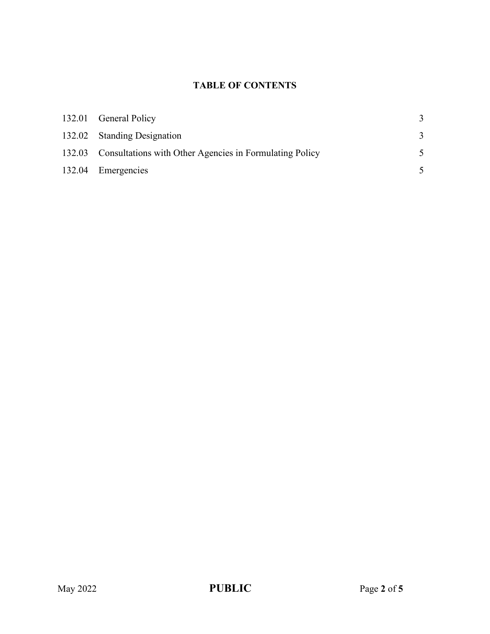# **TABLE OF CONTENTS**

| 132.01 General Policy                                          |  |
|----------------------------------------------------------------|--|
| 132.02 Standing Designation                                    |  |
| 132.03 Consultations with Other Agencies in Formulating Policy |  |
| 132.04 Emergencies                                             |  |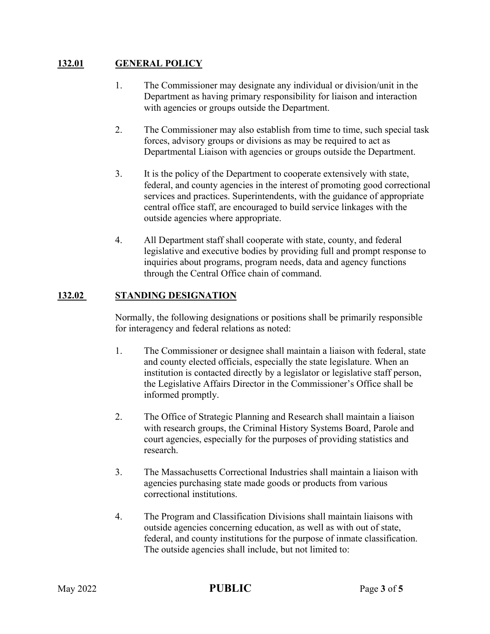## **132.01 GENERAL POLICY**

- 1. The Commissioner may designate any individual or division/unit in the Department as having primary responsibility for liaison and interaction with agencies or groups outside the Department.
- 2. The Commissioner may also establish from time to time, such special task forces, advisory groups or divisions as may be required to act as Departmental Liaison with agencies or groups outside the Department.
- 3. It is the policy of the Department to cooperate extensively with state, federal, and county agencies in the interest of promoting good correctional services and practices. Superintendents, with the guidance of appropriate central office staff, are encouraged to build service linkages with the outside agencies where appropriate.
- 4. All Department staff shall cooperate with state, county, and federal legislative and executive bodies by providing full and prompt response to inquiries about programs, program needs, data and agency functions through the Central Office chain of command.

## **132.02 STANDING DESIGNATION**

Normally, the following designations or positions shall be primarily responsible for interagency and federal relations as noted:

- 1. The Commissioner or designee shall maintain a liaison with federal, state and county elected officials, especially the state legislature. When an institution is contacted directly by a legislator or legislative staff person, the Legislative Affairs Director in the Commissioner's Office shall be informed promptly.
- 2. The Office of Strategic Planning and Research shall maintain a liaison with research groups, the Criminal History Systems Board, Parole and court agencies, especially for the purposes of providing statistics and research.
- 3. The Massachusetts Correctional Industries shall maintain a liaison with agencies purchasing state made goods or products from various correctional institutions.
- 4. The Program and Classification Divisions shall maintain liaisons with outside agencies concerning education, as well as with out of state, federal, and county institutions for the purpose of inmate classification. The outside agencies shall include, but not limited to: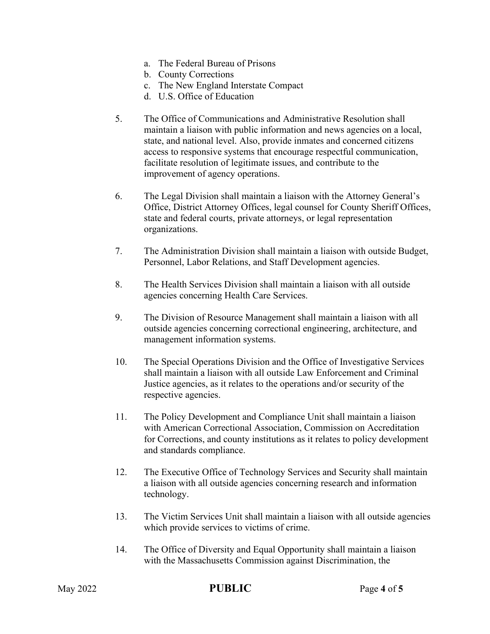- a. The Federal Bureau of Prisons
- b. County Corrections
- c. The New England Interstate Compact
- d. U.S. Office of Education
- 5. The Office of Communications and Administrative Resolution shall maintain a liaison with public information and news agencies on a local, state, and national level. Also, provide inmates and concerned citizens access to responsive systems that encourage respectful communication, facilitate resolution of legitimate issues, and contribute to the improvement of agency operations.
- 6. The Legal Division shall maintain a liaison with the Attorney General's Office, District Attorney Offices, legal counsel for County Sheriff Offices, state and federal courts, private attorneys, or legal representation organizations.
- 7. The Administration Division shall maintain a liaison with outside Budget, Personnel, Labor Relations, and Staff Development agencies.
- 8. The Health Services Division shall maintain a liaison with all outside agencies concerning Health Care Services.
- 9. The Division of Resource Management shall maintain a liaison with all outside agencies concerning correctional engineering, architecture, and management information systems.
- 10. The Special Operations Division and the Office of Investigative Services shall maintain a liaison with all outside Law Enforcement and Criminal Justice agencies, as it relates to the operations and/or security of the respective agencies.
- 11. The Policy Development and Compliance Unit shall maintain a liaison with American Correctional Association, Commission on Accreditation for Corrections, and county institutions as it relates to policy development and standards compliance.
- 12. The Executive Office of Technology Services and Security shall maintain a liaison with all outside agencies concerning research and information technology.
- 13. The Victim Services Unit shall maintain a liaison with all outside agencies which provide services to victims of crime.
- 14. The Office of Diversity and Equal Opportunity shall maintain a liaison with the Massachusetts Commission against Discrimination, the